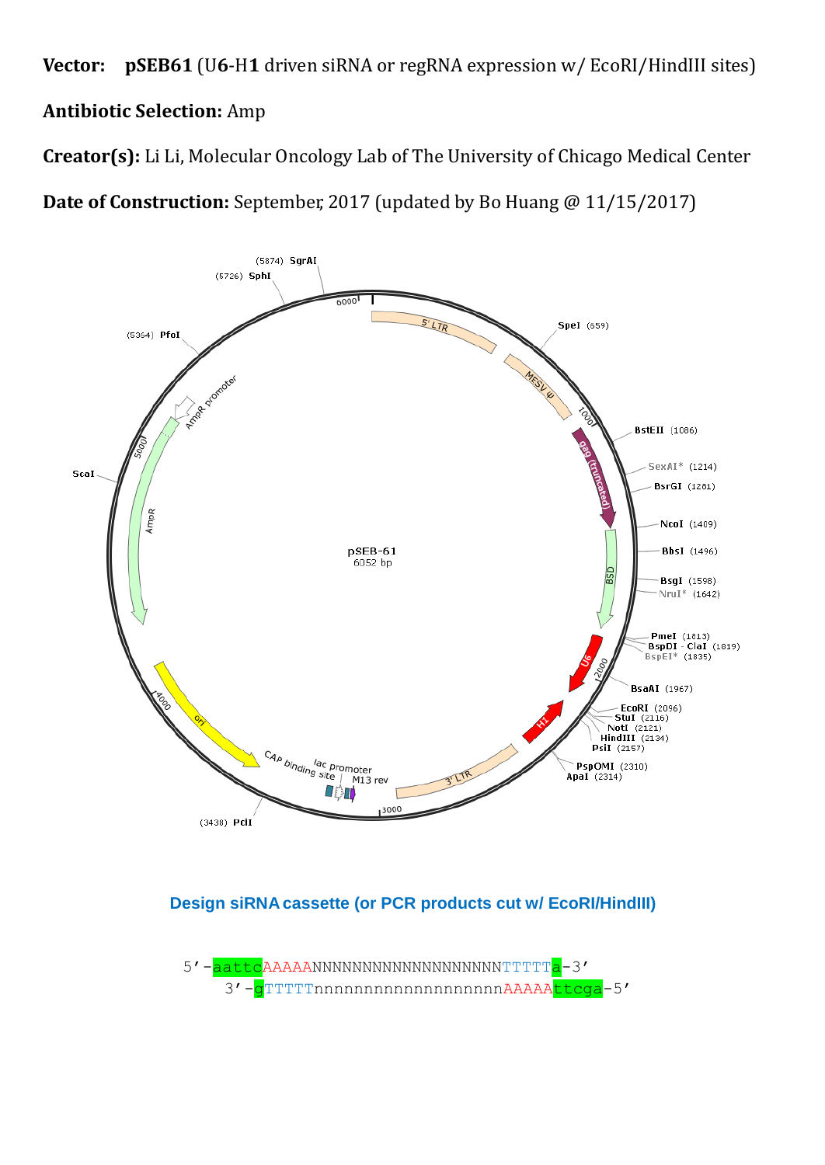**Vector: pSEB61** (U**6**-H**1** driven siRNA or regRNA expression w/ EcoRI/HindIII sites) **Antibiotic Selection:** Amp

**Creator(s):** Li Li, Molecular Oncology Lab of The University of Chicago Medical Center

**Date of Construction:** September, 2017 (updated by Bo Huang @ 11/15/2017)



## **Design siRNA cassette (or PCR products cut w/ EcoRI/HindIII)**

5'-aattcAAAAANNNNNNNNNNNNNNNNNNNNNTTTTTa-3' 3'-gTTTTTnnnnnnnnnnnnnnnnnnAAAAAttcga-5'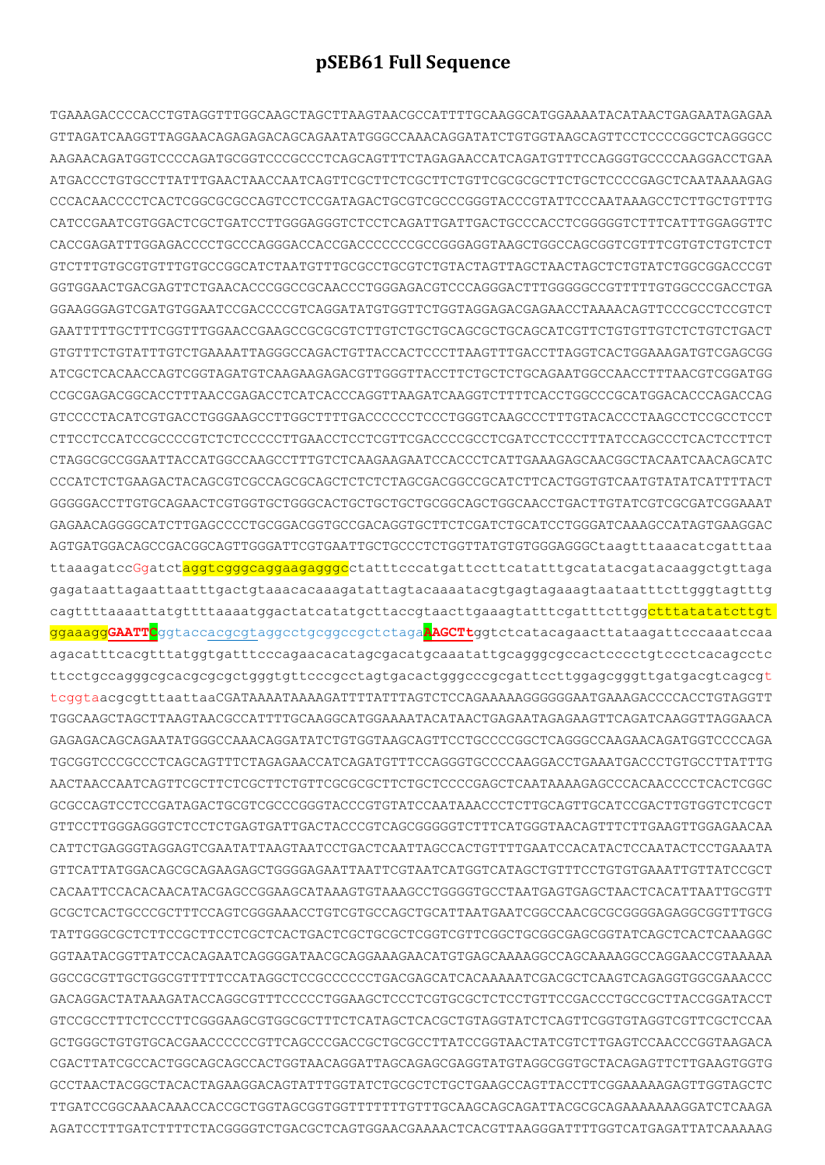## **pSEB61 Full Sequence**

TGAAAGACCCCACCTGTAGGTTTGGCAAGCTAGCTTAAGTAACGCCATTTTGCAAGGCATGGAAAATACATAACTGAGAATAGAGAA GTTAGATCAAGGTTAGGAACAGAGAGACAGCAGAATATGGGCCAAACAGGATATCTGTGGTAAGCAGTTCCTCCCCGGCTCAGGGCC AAGAACAGATGGTCCCCAGATGCGGTCCCGCCCTCAGCAGTTTCTAGAGAACCATCAGATGTTTCCAGGGTGCCCCAAGGACCTGAA ATGACCCTGTGCCTTATTTGAACTAACCAATCAGTTCGCTTCTCGCTTCTGTTCGCGCGCTTCTGCTCCCCGAGCTCAATAAAAGAG CCCACAACCCCTCACTCGGCGCGCCAGTCCTCCGATAGACTGCGTCGCCCGGGTACCCGTATTCCCAATAAAGCCTCTTGCTGTTTG CATCCGAATCGTGGACTCGCTGATCCTTGGGAGGGTCTCCTCAGATTGATTGACTGCCCACCTCGGGGGTCTTTCATTTGGAGGTTC CACCGAGATTTGGAGACCCCTGCCCAGGGACCACCGACCCCCCCGCCGGGAGGTAAGCTGGCCAGCGGTCGTTTCGTGTCTGTCTCT GTCTTTGTGCGTGTTTGTGCCGGCATCTAATGTTTGCGCCTGCGTCTGTACTAGTTAGCTAACTAGCTCTGTATCTGGCGGACCCGT GGTGGAACTGACGAGTTCTGAACACCCGGCCGCAACCCTGGGAGACGTCCCAGGGACTTTGGGGGCCGTTTTTGTGCCCCGACCTGA GGAAGGGAGTCGATGTGGAATCCGACCCCGTCAGGATATGTGGTTCTGGTAGGAGACGAGAACCTAAAACAGTTCCCGCCTCCGTCT GAATTTTTGCTTTCGGTTTGGAACCGAAGCCGCGCGTCTTGTCTGCTGCAGCGCTGCAGCATCGTTCTGTGTTGTCTCTGTCTGACT GTGTTTCTGTATTTGTCTGAAAATTAGGGCCAGACTGTTACCACTCCCTTAAGTTTGACCTTAGGTCACTGGAAAGATGTCGAGCGG ATCGCTCACAACCAGTCGGTAGATGTCAAGAAGAGACGTTGGGTTACCTTCTGCTCTGCAGAATGGCCAACCTTTAACGTCGGATGG CCGCGAGACGGCACCTTTAACCGAGACCTCATCACCCAGGTTAAGATCAAGGTCTTTTCACCTGGCCCGCATGGACACCCAGACCAG GTCCCCTACATCGTGACCTGGGAAGCCTTGGCTTTTGACCCCCCTCCCTGGGTCAAGCCCTTTGTACACCCTAAGCCTCCGCCTCCT CTTCCTCCATCCGCCCCGTCTCTCCCCCTTGAACCTCCTCGTTCGACCCCGCCTCGATCCTCCCTTTATCCAGCCCTCACTCCTTCT CTAGGCGCCGGAATTACCATGGCCAAGCCTTTGTCTCAAGAAGAATCCACCCTCATTGAAAGAGCAACGGCTACAATCAACAGCATC CCCATCTCTGAAGACTACAGCGTCGCCAGCGCAGCTCTCTCTAGCGACGGCCGCATCTTCACTGGTGTCAATGTATATCATTTTACT GGGGGACCTTGTGCAGAACTCGTGGTGCTGGGCACTGCTGCTGCTGCGGCAGCTGGCAACCTGACTTGTATCGTCGCGATCGGAAAT GAGAACAGGGGCATCTTGAGCCCCTGCGGACGGTGCCGACAGGTGCTTCTCGATCTGCATCCTGGGATCAAAGCCATAGTGAAGGAC AGTGATGGACAGCCGACGGCAGTTGGGATTCGTGAATTGCTGCCCTCTGGTTATGTGTGGGAGGGCtaagtttaaacatcgatttaa ttaaagatccGgatct<mark>aggtcgggcaggaagagggc</mark>ctatttcccatgattccttcatatttgcatatacgatacaaggctgttaga gagataattagaattaatttgactgtaaacacaaagatattagtacaaaatacgtgagtagaaagtaataatttcttgggtagtttg cagttttaaaattatgttttaaaatggactatcatatgcttaccgtaacttgaaagtatttcgatttcttgg<mark>ctttatatatcttgt</mark> ggaaagg**GAATTC**ggtaccacgcgtaggcctgcggccgctctaga**AAGCTt**ggtctcatacagaacttataagattcccaaatccaa agacatttcacgtttatggtgatttcccagaacacatagcgacatgcaaatattgcagggcgccactcccctgtccctcacagcctc ttcctgccagggcgcacgcgcgctgggtgttcccgcctagtgacactgggcccgcgattccttggagcgggttgatgacgtcagcgt tcggtaacgcgtttaattaaCGATAAAATAAAAGATTTTATTTAGTCTCCAGAAAAAGGGGGGAATGAAAGACCCCACCTGTAGGTT TGGCAAGCTAGCTTAAGTAACGCCATTTTGCAAGGCATGGAAAATACATAACTGAGAATAGAGAAGTTCAGATCAAGGTTAGGAACA GAGAGACAGCAGAATATGGGCCAAACAGGATATCTGTGGTAAGCAGTTCCTGCCCCGGCTCAGGGCCAAGAACAGATGGTCCCCAGA TGCGGTCCCGCCCTCAGCAGTTTCTAGAGAACCATCAGATGTTTCCAGGGTGCCCCAAGGACCTGAAATGACCCTGTGCCTTATTTG AACTAACCAATCAGTTCGCTTCTCGCTTCTGTTCGCGCGCTTCTGCTCCCCGAGCTCAATAAAAGAGCCCACAACCCCTCACTCGGC GCGCCAGTCCTCCGATAGACTGCGTCGCCCGGGTACCCGTGTATCCAATAAACCCTCTTGCAGTTGCATCCGACTTGTGGTCTCGCT GTTCCTTGGGAGGGTCTCCTCTGAGTGATTGACTACCCGTCAGCGGGGGTCTTTCATGGGTAACAGTTTCTTGAAGTTGGAGAACAA CATTCTGAGGGTAGGAGTCGAATATTAAGTAATCCTGACTCAATTAGCCACTGTTTTGAATCCACATACTCCAATACTCCTGAAATA GTTCATTATGGACAGCGCAGAAGAGCTGGGGAGAATTAATTCGTAATCATGGTCATAGCTGTTTCCTGTGTGAAATTGTTATCCGCT CACAATTCCACACAACATACGAGCCGGAAGCATAAAGTGTAAAGCCTGGGGTGCCTAATGAGTGAGCTAACTCACATTAATTGCGTT GCGCTCACTGCCCGCTTTCCAGTCGGGAAACCTGTCGTGCCAGCTGCATTAATGAATCGGCCAACGCGCGGGGAGAGGCGGTTTGCG TATTGGGCGCTCTTCCGCTTCCTCGCTCACTGACTCGCTGCGCTCGGTCGTTCGGCTGCGGCGAGCGGTATCAGCTCACTCAAAGGC GGTAATACGGTTATCCACAGAATCAGGGGATAACGCAGGAAAGAACATGTGAGCAAAAGGCCAGCAAAAGGCCAGGAACCGTAAAAA GGCCGCGTTGCTGGCGTTTTTCCATAGGCTCCGCCCCCCTGACGAGCATCACAAAAATCGACGCTCAAGTCAGAGGTGGCGAAACCC GACAGGACTATAAAGATACCAGGCGTTTCCCCCTGGAAGCTCCCTCGTGCGCTCTCCTGTTCCGACCCTGCCGCTTACCGGATACCT GTCCGCCTTTCTCCCTTCGGGAAGCGTGGCGCTTTCTCATAGCTCACGCTGTAGGTATCTCAGTTCGGTGTAGGTCGTTCGCTCCAA GCTGGGCTGTGTGCACGAACCCCCCGTTCAGCCCGACCGCTGCGCCTTATCCGGTAACTATCGTCTTGAGTCCAACCCGGTAAGACA CGACTTATCGCCACTGGCAGCAGCCACTGGTAACAGGATTAGCAGAGCGAGGTATGTAGGCGGTGCTACAGAGTTCTTGAAGTGGTG GCCTAACTACGGCTACACTAGAAGGACAGTATTTGGTATCTGCGCTCTGCTGAAGCCAGTTACCTTCGGAAAAAGAGTTGGTAGCTC TTGATCCGGCAAACAAACCACCGCTGGTAGCGGTGGTTTTTTTGTTTGCAAGCAGCAGATTACGCGCAGAAAAAAAGGATCTCAAGA AGATCCTTTGATCTTTTCTACGGGGTCTGACGCTCAGTGGAACGAAAACTCACGTTAAGGGATTTTGGTCATGAGATTATCAAAAAG